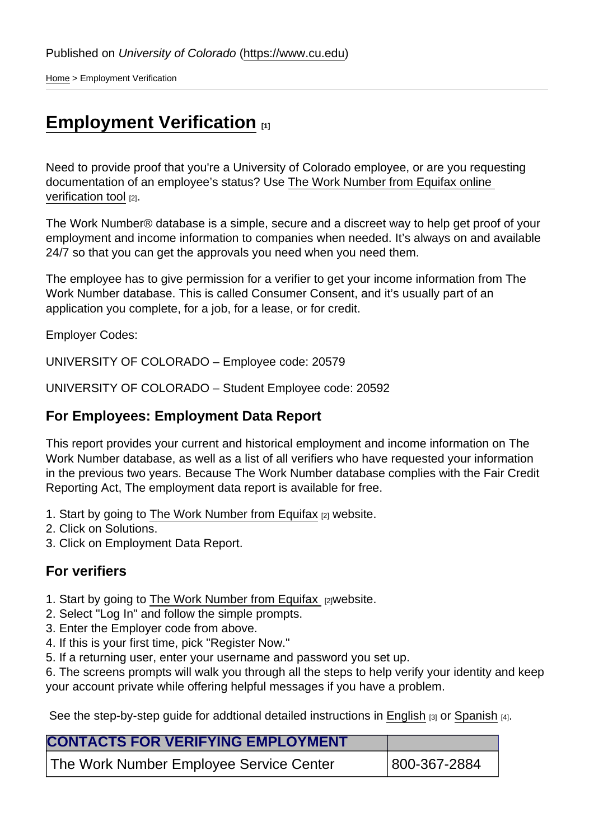[Home](https://www.cu.edu/) > Employment Verification

## [Employment Verification](https://www.cu.edu/employee-services/collaborative-hr-services/cu-campuses/employment-verification) [1]

Need to provide proof that you're a University of Colorado employee, or are you requesting documentation of an employee's status? Use [The Work Number from Equifax online](https://theworknumber.com/)  [verification tool](https://theworknumber.com/) [2].

The Work Number® database is a simple, secure and a discreet way to help get proof of your employment and income information to companies when needed. It's always on and available 24/7 so that you can get the approvals you need when you need them.

The employee has to give permission for a verifier to get your income information from The Work Number database. This is called Consumer Consent, and it's usually part of an application you complete, for a job, for a lease, or for credit.

Employer Codes:

UNIVERSITY OF COLORADO – Employee code: 20579

UNIVERSITY OF COLORADO – Student Employee code: 20592

For Employees: Employment Data Report

This report provides your current and historical employment and income information on The Work Number database, as well as a list of all verifiers who have requested your information in the previous two years. Because The Work Number database complies with the Fair Credit Reporting Act, The employment data report is available for free.

- 1. Start by going to [The Work Number from Equifax](https://theworknumber.com/) [2] website.
- 2. Click on Solutions.
- 3. Click on Employment Data Report.

## For verifiers

- 1. Start by going to [The Work Number from Equifax](https://theworknumber.com/) [2] website.
- 2. Select "Log In" and follow the simple prompts.
- 3. Enter the Employer code from above.
- 4. If this is your first time, pick "Register Now."
- 5. If a returning user, enter your username and password you set up.

6. The screens prompts will walk you through all the steps to help verify your identity and keep your account private while offering helpful messages if you have a problem.

See the step-by-step quide for addtional detailed instructions in [English](https://www.cu.edu/doc/employeeguide-work-number-002pdf)  $[3]$  or [Spanish](https://www.cu.edu/doc/spanishemployeeguide-work-numberpdf)  $[4]$ .

| <b>CONTACTS FOR VERIFYING EMPLOYMENT</b> |              |
|------------------------------------------|--------------|
| The Work Number Employee Service Center  | 800-367-2884 |